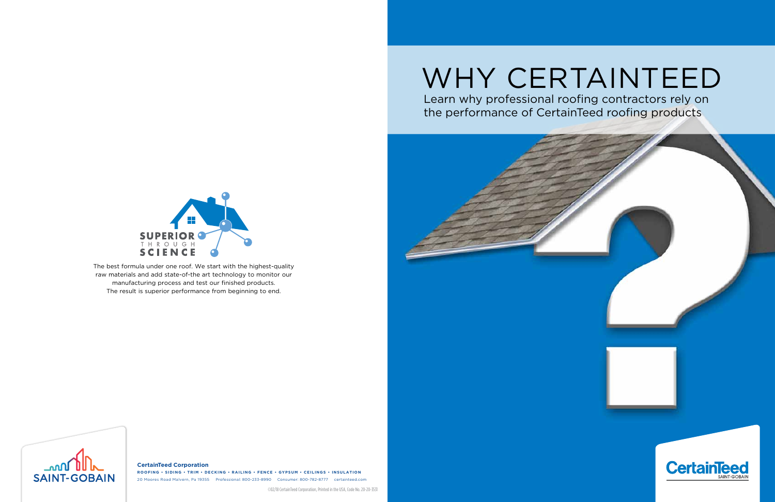The best formula under one roof. We start with the highest-quality raw materials and add state-of-the art technology to monitor our manufacturing process and test our finished products. The result is superior performance from beginning to end.



**CertainTeed Corporation ROOFING • SIDING • TRIM • DECKING • RAILING • FENCE • GYPSUM • CEILINGS • INSULATION** 20 Moores Road Malvern, Pa 19355 Professional: 800-233-8990 Consumer: 800-782-8777 certainteed.com

©02/18 CertainTeed Corporation, Printed in the USA, Code No. 20-20-3531



# WHY CERTAINTEED Learn why professional roofing contractors rely on

the performance of CertainTeed roofing products